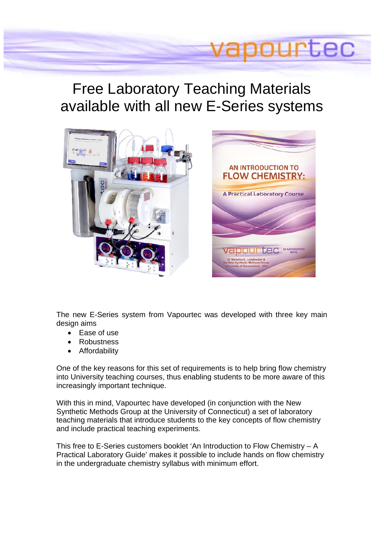# ILEC

# Free Laboratory Teaching Materials available with all new E-Series systems





The new E-Series system from Vapourtec was developed with three key main design aims

- Ease of use
- Robustness
- Affordability

One of the key reasons for this set of requirements is to help bring flow chemistry into University teaching courses, thus enabling students to be more aware of this increasingly important technique.

With this in mind, Vapourtec have developed (in conjunction with the New Synthetic Methods Group at the University of Connecticut) a set of laboratory teaching materials that introduce students to the key concepts of flow chemistry and include practical teaching experiments.

This free to E-Series customers booklet 'An Introduction to Flow Chemistry – A Practical Laboratory Guide' makes it possible to include hands on flow chemistry in the undergraduate chemistry syllabus with minimum effort.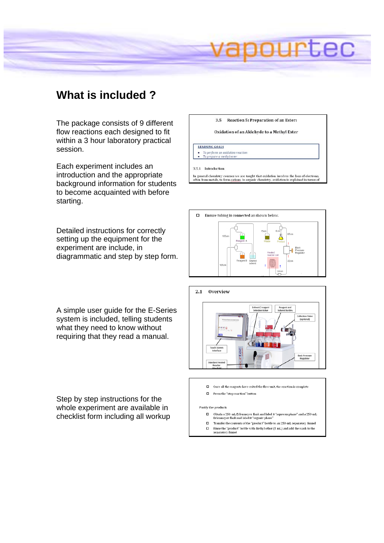

### **What is included ?**

The package consists of 9 different flow reactions each designed to fit within a 3 hour laboratory practical session.

Each experiment includes an introduction and the appropriate background information for students to become acquainted with before starting.

Detailed instructions for correctly setting up the equipment for the experiment are include, in diagrammatic and step by step form. 3.5 Reaction 5: Preparation of an Ester:

Oxidation of an Aldehyde to a Methyl Ester

**LEARNING GOALS** To perform an oxidation reaction

• To prepare a methyl ester

3.5.1 Introduction

In general chemistry courses we are taught that oxidation involves the loss of electrons<br>often from metals, to form cations. In organic chemistry, oxidation is explained in terms o



A simple user guide for the E-Series system is included, telling students what they need to know without requiring that they read a manual.



Step by step instructions for the whole experiment are available in checklist form including all workup

#### □ Press the "stop reaction" button Purify the product:

 $\Box$   $-$  Obtain a 250-mL Erlenmeyer flask and label it "aqueous phase" and a 250-mL Erlenmeyer flask and label it "organic phase"

 $\square$  Once all the reagents have exited the flow unit, the reaction is complete

- $\hfill\Box$  <br> <br> Transfer the contents of the "product" bottle to an 250-mL separatory funnel
- $\Box$  <br> . Rinse the "product" bottle with diethyl ether (5 mL) and add the wash to the separatory funnel